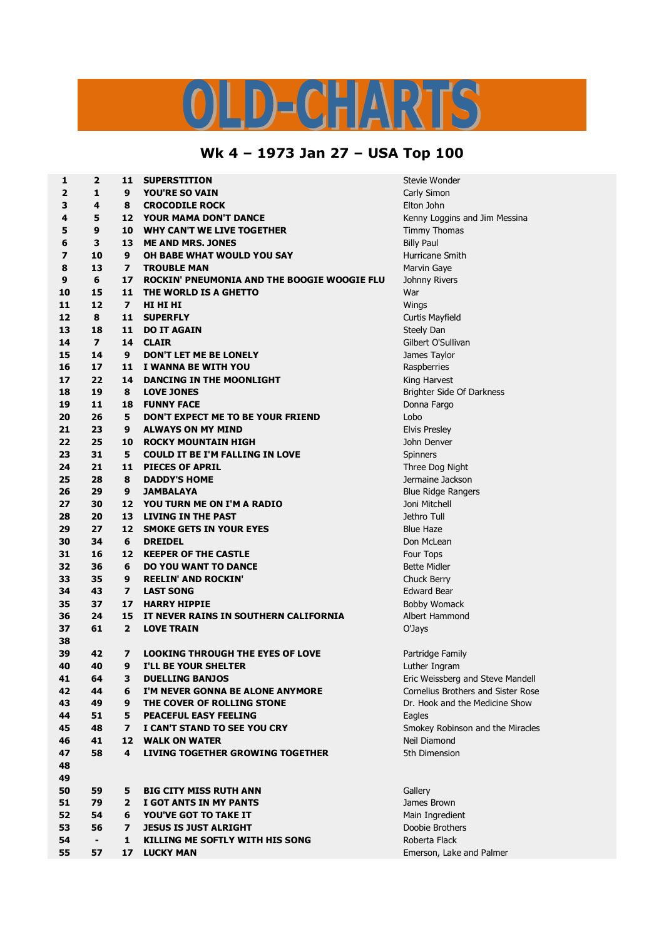## ID-CHARTS

## **Wk 4 – 1973 Jan 27 – USA Top 100**

| 1  | $\overline{2}$           | 11               | <b>SUPERSTITION</b>                         | Stevie Wonder                      |
|----|--------------------------|------------------|---------------------------------------------|------------------------------------|
| 2  | 1                        | 9                | <b>YOU'RE SO VAIN</b>                       | Carly Simon                        |
| 3  | 4                        | 8                | <b>CROCODILE ROCK</b>                       | Elton John                         |
| 4  | 5                        | 12 <sup>7</sup>  | <b>YOUR MAMA DON'T DANCE</b>                | Kenny Loggins and Jim Messina      |
| 5  | 9                        | 10               | <b>WHY CAN'T WE LIVE TOGETHER</b>           | <b>Timmy Thomas</b>                |
| 6  | 3                        | 13               | <b>ME AND MRS. JONES</b>                    | <b>Billy Paul</b>                  |
| 7  | 10                       | 9                | OH BABE WHAT WOULD YOU SAY                  | Hurricane Smith                    |
| 8  | 13                       | $\overline{ }$   | <b>TROUBLE MAN</b>                          | Marvin Gaye                        |
| 9  | 6                        | 17               | ROCKIN' PNEUMONIA AND THE BOOGIE WOOGIE FLU | Johnny Rivers                      |
| 10 | 15                       | 11               | THE WORLD IS A GHETTO                       | War                                |
| 11 | 12                       | $\overline{ }$   | HI HI HI                                    | Wings                              |
| 12 | 8                        | 11               | <b>SUPERFLY</b>                             | Curtis Mayfield                    |
| 13 | 18                       | 11               | <b>DO IT AGAIN</b>                          | Steely Dan                         |
| 14 | $\overline{\mathbf{z}}$  | 14               | <b>CLAIR</b>                                | Gilbert O'Sullivan                 |
| 15 | 14                       | 9                | <b>DON'T LET ME BE LONELY</b>               | James Taylor                       |
| 16 | 17                       | 11               | I WANNA BE WITH YOU                         | Raspberries                        |
| 17 | 22                       | 14               | DANCING IN THE MOONLIGHT                    | King Harvest                       |
| 18 | 19                       | 8                | <b>LOVE JONES</b>                           | Brighter Side Of Darkness          |
| 19 | 11                       | 18               | <b>FUNNY FACE</b>                           | Donna Fargo                        |
| 20 | 26                       | 5                | DON'T EXPECT ME TO BE YOUR FRIEND           | Lobo                               |
| 21 | 23                       | 9                | <b>ALWAYS ON MY MIND</b>                    | <b>Elvis Presley</b>               |
| 22 | 25                       | 10               | <b>ROCKY MOUNTAIN HIGH</b>                  | John Denver                        |
|    |                          |                  |                                             |                                    |
| 23 | 31                       | 5                | <b>COULD IT BE I'M FALLING IN LOVE</b>      | Spinners                           |
| 24 | 21                       | 11               | <b>PIECES OF APRIL</b>                      | Three Dog Night                    |
| 25 | 28                       | 8                | <b>DADDY'S HOME</b>                         | Jermaine Jackson                   |
| 26 | 29                       | 9                | <b>JAMBALAYA</b>                            | <b>Blue Ridge Rangers</b>          |
| 27 | 30                       | 12               | YOU TURN ME ON I'M A RADIO                  | Joni Mitchell                      |
| 28 | 20                       | 13               | <b>LIVING IN THE PAST</b>                   | Jethro Tull                        |
| 29 | 27                       | $12-12$          | <b>SMOKE GETS IN YOUR EYES</b>              | <b>Blue Haze</b>                   |
| 30 | 34                       | 6                | <b>DREIDEL</b>                              | Don McLean                         |
| 31 | 16                       |                  | 12 KEEPER OF THE CASTLE                     | Four Tops                          |
| 32 | 36                       | 6                | <b>DO YOU WANT TO DANCE</b>                 | <b>Bette Midler</b>                |
| 33 | 35                       | 9                | <b>REELIN' AND ROCKIN'</b>                  | <b>Chuck Berry</b>                 |
| 34 | 43                       | $\overline{ }$   | <b>LAST SONG</b>                            | <b>Edward Bear</b>                 |
| 35 | 37                       | 17               | <b>HARRY HIPPIE</b>                         | <b>Bobby Womack</b>                |
| 36 | 24                       | 15               | IT NEVER RAINS IN SOUTHERN CALIFORNIA       | Albert Hammond                     |
| 37 | 61                       | $\overline{2}$   | <b>LOVE TRAIN</b>                           | O'Jays                             |
| 38 |                          |                  |                                             |                                    |
| 39 | 42                       | 7                | <b>LOOKING THROUGH THE EYES OF LOVE</b>     | Partridge Family                   |
| 40 | 40                       | 9                | <b>I'LL BE YOUR SHELTER</b>                 | Luther Ingram                      |
| 41 | 64                       | 3                | <b>DUELLING BANJOS</b>                      | Eric Weissberg and Steve Mandell   |
| 42 | 44                       | 6                | I'M NEVER GONNA BE ALONE ANYMORE            | Cornelius Brothers and Sister Rose |
| 43 | 49                       | 9                | THE COVER OF ROLLING STONE                  | Dr. Hook and the Medicine Show     |
| 44 | 51                       | 5                | PEACEFUL EASY FEELING                       | Eagles                             |
| 45 | 48                       | $\overline{ }$   | I CAN'T STAND TO SEE YOU CRY                | Smokey Robinson and the Miracles   |
| 46 | 41                       | 12 <sup>12</sup> | <b>WALK ON WATER</b>                        | Neil Diamond                       |
| 47 | 58                       | 4                | <b>LIVING TOGETHER GROWING TOGETHER</b>     | 5th Dimension                      |
| 48 |                          |                  |                                             |                                    |
| 49 |                          |                  |                                             |                                    |
| 50 | 59                       | 5                | <b>BIG CITY MISS RUTH ANN</b>               | Gallery                            |
| 51 | 79                       | $\mathbf{2}$     | I GOT ANTS IN MY PANTS                      | James Brown                        |
| 52 | 54                       | 6                | <b>YOU'VE GOT TO TAKE IT</b>                | Main Ingredient                    |
| 53 | 56                       | $\overline{ }$   | <b>JESUS IS JUST ALRIGHT</b>                | Doobie Brothers                    |
| 54 | $\overline{\phantom{a}}$ | $\mathbf{1}$     | KILLING ME SOFTLY WITH HIS SONG             | Roberta Flack                      |
| 55 | 57                       | 17               | <b>LUCKY MAN</b>                            | Emerson, Lake and Palmer           |
|    |                          |                  |                                             |                                    |